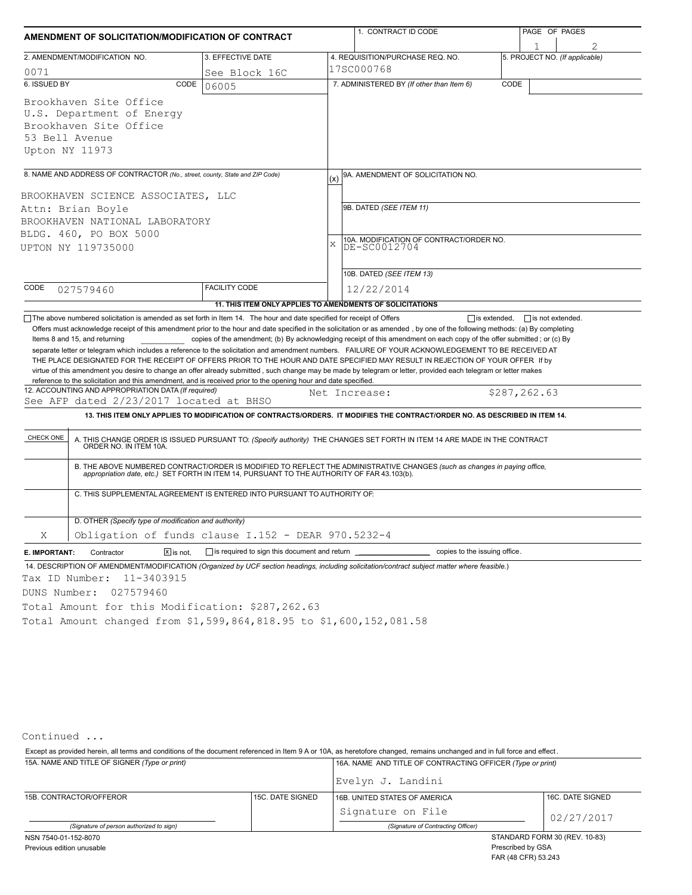| AMENDMENT OF SOLICITATION/MODIFICATION OF CONTRACT |                                                                                                                                                                                                                                                    |                                                                                  |                                                                      | 1. CONTRACT ID CODE                                                                                                                                                                                                                                                                                                                                                                                                                                                                                                                                                                                  |      | PAGE OF PAGES                  |  |  |  |
|----------------------------------------------------|----------------------------------------------------------------------------------------------------------------------------------------------------------------------------------------------------------------------------------------------------|----------------------------------------------------------------------------------|----------------------------------------------------------------------|------------------------------------------------------------------------------------------------------------------------------------------------------------------------------------------------------------------------------------------------------------------------------------------------------------------------------------------------------------------------------------------------------------------------------------------------------------------------------------------------------------------------------------------------------------------------------------------------------|------|--------------------------------|--|--|--|
|                                                    |                                                                                                                                                                                                                                                    |                                                                                  |                                                                      |                                                                                                                                                                                                                                                                                                                                                                                                                                                                                                                                                                                                      |      |                                |  |  |  |
|                                                    | 2. AMENDMENT/MODIFICATION NO.                                                                                                                                                                                                                      | 3. EFFECTIVE DATE                                                                |                                                                      | 4. REQUISITION/PURCHASE REQ. NO.                                                                                                                                                                                                                                                                                                                                                                                                                                                                                                                                                                     |      | 5. PROJECT NO. (If applicable) |  |  |  |
| 0071                                               |                                                                                                                                                                                                                                                    | See Block 16C                                                                    |                                                                      | l17SC000768                                                                                                                                                                                                                                                                                                                                                                                                                                                                                                                                                                                          |      |                                |  |  |  |
| 6. ISSUED BY                                       | CODE                                                                                                                                                                                                                                               | 06005                                                                            |                                                                      | 7. ADMINISTERED BY (If other than Item 6)                                                                                                                                                                                                                                                                                                                                                                                                                                                                                                                                                            | CODE |                                |  |  |  |
|                                                    | Brookhaven Site Office                                                                                                                                                                                                                             |                                                                                  |                                                                      |                                                                                                                                                                                                                                                                                                                                                                                                                                                                                                                                                                                                      |      |                                |  |  |  |
|                                                    | U.S. Department of Energy                                                                                                                                                                                                                          |                                                                                  |                                                                      |                                                                                                                                                                                                                                                                                                                                                                                                                                                                                                                                                                                                      |      |                                |  |  |  |
|                                                    | Brookhaven Site Office                                                                                                                                                                                                                             |                                                                                  |                                                                      |                                                                                                                                                                                                                                                                                                                                                                                                                                                                                                                                                                                                      |      |                                |  |  |  |
|                                                    | 53 Bell Avenue                                                                                                                                                                                                                                     |                                                                                  |                                                                      |                                                                                                                                                                                                                                                                                                                                                                                                                                                                                                                                                                                                      |      |                                |  |  |  |
|                                                    | Upton NY 11973                                                                                                                                                                                                                                     |                                                                                  |                                                                      |                                                                                                                                                                                                                                                                                                                                                                                                                                                                                                                                                                                                      |      |                                |  |  |  |
|                                                    | 8. NAME AND ADDRESS OF CONTRACTOR (No., street, county, State and ZIP Code)                                                                                                                                                                        |                                                                                  |                                                                      |                                                                                                                                                                                                                                                                                                                                                                                                                                                                                                                                                                                                      |      |                                |  |  |  |
|                                                    |                                                                                                                                                                                                                                                    |                                                                                  | (x)                                                                  | 9A. AMENDMENT OF SOLICITATION NO.                                                                                                                                                                                                                                                                                                                                                                                                                                                                                                                                                                    |      |                                |  |  |  |
|                                                    | BROOKHAVEN SCIENCE ASSOCIATES, LLC                                                                                                                                                                                                                 |                                                                                  |                                                                      |                                                                                                                                                                                                                                                                                                                                                                                                                                                                                                                                                                                                      |      |                                |  |  |  |
|                                                    | Attn: Brian Boyle                                                                                                                                                                                                                                  |                                                                                  |                                                                      | 9B. DATED (SEE ITEM 11)                                                                                                                                                                                                                                                                                                                                                                                                                                                                                                                                                                              |      |                                |  |  |  |
|                                                    | BROOKHAVEN NATIONAL LABORATORY                                                                                                                                                                                                                     |                                                                                  |                                                                      |                                                                                                                                                                                                                                                                                                                                                                                                                                                                                                                                                                                                      |      |                                |  |  |  |
|                                                    | BLDG. 460, PO BOX 5000                                                                                                                                                                                                                             |                                                                                  |                                                                      |                                                                                                                                                                                                                                                                                                                                                                                                                                                                                                                                                                                                      |      |                                |  |  |  |
|                                                    | UPTON NY 119735000                                                                                                                                                                                                                                 |                                                                                  | 10A. MODIFICATION OF CONTRACT/ORDER NO.<br>$\bar{x}$<br>DE-SC0012704 |                                                                                                                                                                                                                                                                                                                                                                                                                                                                                                                                                                                                      |      |                                |  |  |  |
|                                                    |                                                                                                                                                                                                                                                    |                                                                                  |                                                                      |                                                                                                                                                                                                                                                                                                                                                                                                                                                                                                                                                                                                      |      |                                |  |  |  |
|                                                    |                                                                                                                                                                                                                                                    |                                                                                  |                                                                      | 10B. DATED (SEE ITEM 13)                                                                                                                                                                                                                                                                                                                                                                                                                                                                                                                                                                             |      |                                |  |  |  |
| CODE                                               | 027579460                                                                                                                                                                                                                                          | <b>FACILITY CODE</b>                                                             |                                                                      | 12/22/2014                                                                                                                                                                                                                                                                                                                                                                                                                                                                                                                                                                                           |      |                                |  |  |  |
|                                                    |                                                                                                                                                                                                                                                    | 11. THIS ITEM ONLY APPLIES TO AMENDMENTS OF SOLICITATIONS                        |                                                                      |                                                                                                                                                                                                                                                                                                                                                                                                                                                                                                                                                                                                      |      |                                |  |  |  |
|                                                    | Items 8 and 15, and returning<br>reference to the solicitation and this amendment, and is received prior to the opening hour and date specified.<br>12. ACCOUNTING AND APPROPRIATION DATA (If required)<br>See AFP dated 2/23/2017 located at BHSO |                                                                                  |                                                                      | copies of the amendment; (b) By acknowledging receipt of this amendment on each copy of the offer submitted; or (c) By<br>separate letter or telegram which includes a reference to the solicitation and amendment numbers. FAILURE OF YOUR ACKNOWLEDGEMENT TO BE RECEIVED AT<br>THE PLACE DESIGNATED FOR THE RECEIPT OF OFFERS PRIOR TO THE HOUR AND DATE SPECIFIED MAY RESULT IN REJECTION OF YOUR OFFER If by<br>virtue of this amendment you desire to change an offer already submitted, such change may be made by telegram or letter, provided each telegram or letter makes<br>Net Increase: |      | \$287,262.63                   |  |  |  |
|                                                    |                                                                                                                                                                                                                                                    |                                                                                  |                                                                      | 13. THIS ITEM ONLY APPLIES TO MODIFICATION OF CONTRACTS/ORDERS. IT MODIFIES THE CONTRACT/ORDER NO. AS DESCRIBED IN ITEM 14.                                                                                                                                                                                                                                                                                                                                                                                                                                                                          |      |                                |  |  |  |
| CHECK ONE                                          |                                                                                                                                                                                                                                                    |                                                                                  |                                                                      | A. THIS CHANGE ORDER IS ISSUED PURSUANT TO: (Specify authority) THE CHANGES SET FORTH IN ITEM 14 ARE MADE IN THE CONTRACT ORDER NO. IN ITEM 10A.                                                                                                                                                                                                                                                                                                                                                                                                                                                     |      |                                |  |  |  |
|                                                    | B. THE ABOVE NUMBERED CONTRACT/ORDER IS MODIFIED TO REFLECT THE ADMINISTRATIVE CHANGES (such as changes in paying office,<br>appropriation date, etc.) SET FORTH IN ITEM 14, PURSUANT TO THE AUTHORITY OF FAR 43.103(b).                           |                                                                                  |                                                                      |                                                                                                                                                                                                                                                                                                                                                                                                                                                                                                                                                                                                      |      |                                |  |  |  |
|                                                    | C. THIS SUPPLEMENTAL AGREEMENT IS ENTERED INTO PURSUANT TO AUTHORITY OF:                                                                                                                                                                           |                                                                                  |                                                                      |                                                                                                                                                                                                                                                                                                                                                                                                                                                                                                                                                                                                      |      |                                |  |  |  |
|                                                    | D. OTHER (Specify type of modification and authority)                                                                                                                                                                                              |                                                                                  |                                                                      |                                                                                                                                                                                                                                                                                                                                                                                                                                                                                                                                                                                                      |      |                                |  |  |  |
| Χ                                                  | Obligation of funds clause I.152 - DEAR 970.5232-4                                                                                                                                                                                                 |                                                                                  |                                                                      |                                                                                                                                                                                                                                                                                                                                                                                                                                                                                                                                                                                                      |      |                                |  |  |  |
| E. IMPORTANT:                                      | $\Sigma$ is not.<br>Contractor                                                                                                                                                                                                                     | is required to sign this document and return ___________________________________ |                                                                      | copies to the issuing office.                                                                                                                                                                                                                                                                                                                                                                                                                                                                                                                                                                        |      |                                |  |  |  |
|                                                    |                                                                                                                                                                                                                                                    |                                                                                  |                                                                      | 14. DESCRIPTION OF AMENDMENT/MODIFICATION (Organized by UCF section headings, including solicitation/contract subject matter where feasible.)                                                                                                                                                                                                                                                                                                                                                                                                                                                        |      |                                |  |  |  |
|                                                    | Tax ID Number: 11-3403915                                                                                                                                                                                                                          |                                                                                  |                                                                      |                                                                                                                                                                                                                                                                                                                                                                                                                                                                                                                                                                                                      |      |                                |  |  |  |
| DUNS Number:                                       | 027579460                                                                                                                                                                                                                                          |                                                                                  |                                                                      |                                                                                                                                                                                                                                                                                                                                                                                                                                                                                                                                                                                                      |      |                                |  |  |  |
|                                                    | Total Amount for this Modification: \$287,262.63                                                                                                                                                                                                   |                                                                                  |                                                                      |                                                                                                                                                                                                                                                                                                                                                                                                                                                                                                                                                                                                      |      |                                |  |  |  |
|                                                    | Total Amount changed from \$1,599,864,818.95 to \$1,600,152,081.58                                                                                                                                                                                 |                                                                                  |                                                                      |                                                                                                                                                                                                                                                                                                                                                                                                                                                                                                                                                                                                      |      |                                |  |  |  |
|                                                    |                                                                                                                                                                                                                                                    |                                                                                  |                                                                      |                                                                                                                                                                                                                                                                                                                                                                                                                                                                                                                                                                                                      |      |                                |  |  |  |

Continued ...

15A. NAME AND TITLE OF SIGNER *(Type or print)* 16A. NAME AND TITLE OF CONTRACTING OFFICER *(Type or print)* Except as provided herein, all terms and conditions of the document referenced in Item 9 A or 10A, as heretofore changed, remains unchanged and in full force and effect .

|                                             |  | Evelyn J. Landini                  |                               |  |  |
|---------------------------------------------|--|------------------------------------|-------------------------------|--|--|
| 15C. DATE SIGNED<br>15B. CONTRACTOR/OFFEROR |  | 16B. UNITED STATES OF AMERICA      | 16C. DATE SIGNED              |  |  |
|                                             |  | Signature on File                  | 02/27/2017                    |  |  |
| (Signature of person authorized to sign)    |  | (Signature of Contracting Officer) |                               |  |  |
| NSN 7540-01-152-8070                        |  |                                    | STANDARD FORM 30 (REV. 10-83) |  |  |